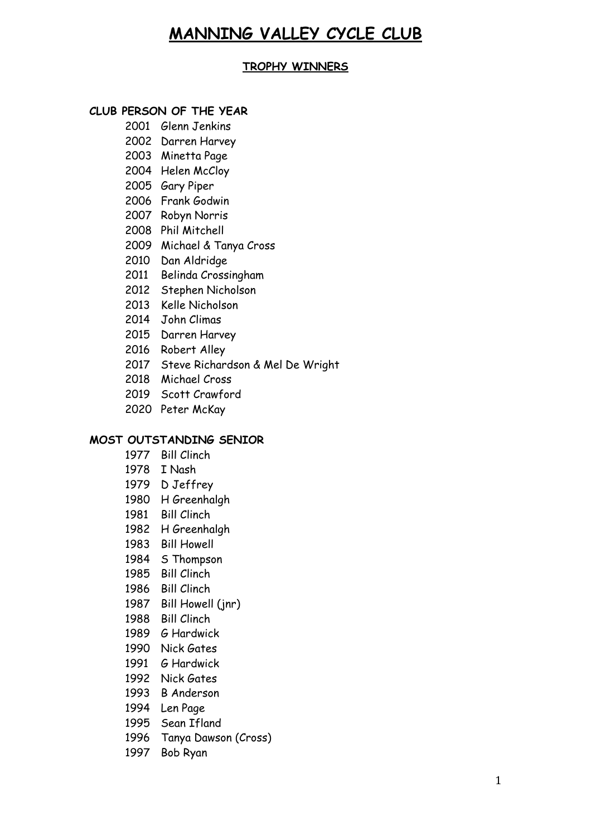# **MANNING VALLEY CYCLE CLUB**

## **TROPHY WINNERS**

## **CLUB PERSON OF THE YEAR**

- Glenn Jenkins
- Darren Harvey
- Minetta Page
- Helen McCloy
- Gary Piper
- Frank Godwin
- Robyn Norris
- Phil Mitchell
- Michael & Tanya Cross
- Dan Aldridge
- Belinda Crossingham
- Stephen Nicholson
- Kelle Nicholson
- 2014 John Climas
- Darren Harvey
- Robert Alley
- 2017 Steve Richardson & Mel De Wright
- 2018 Michael Cross
- Scott Crawford
- Peter McKay

#### **MOST OUTSTANDING SENIOR**

- Bill Clinch
- I Nash
- D Jeffrey
- H Greenhalgh
- Bill Clinch
- H Greenhalgh
- Bill Howell
- S Thompson
- Bill Clinch
- Bill Clinch
- 1987 Bill Howell (inr)
- Bill Clinch
- G Hardwick
- Nick Gates
- G Hardwick
- Nick Gates
- B Anderson
- Len Page
- Sean Ifland
- Tanya Dawson (Cross)
- Bob Ryan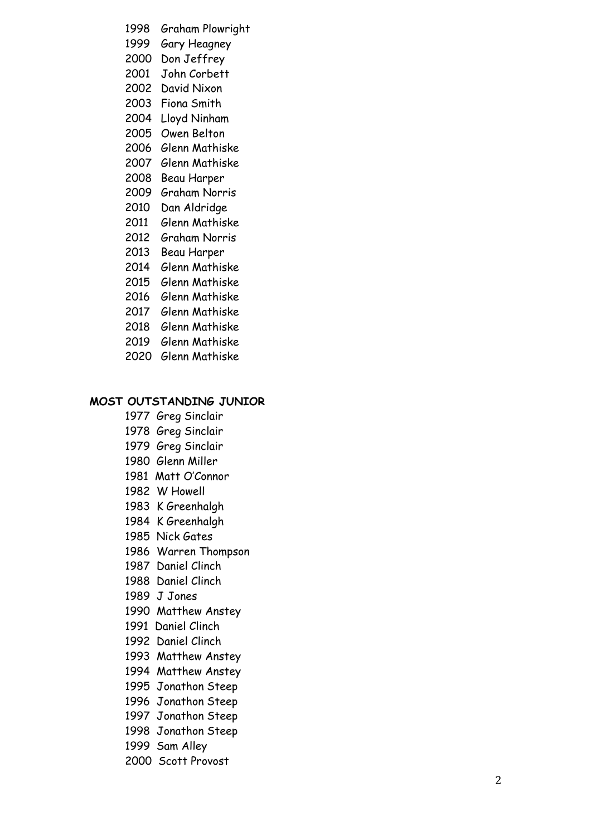- 1998 Graham Plowright
- 1999 Gary Heagney
- 2000 Don Jeffrey
- 2001 John Corbett
- 2002 David Nixon
- 2003 Fiona Smith
- 2004 Lloyd Ninham
- 2005 Owen Belton
- 2006 Glenn Mathiske
- 2007 Glenn Mathiske
- 2008 Beau Harper
- 2009 Graham Norris
- 2010 Dan Aldridge
- 2011 Glenn Mathiske
- 2012 Graham Norris
- 2013 Beau Harper
- 2014 Glenn Mathiske
- 2015 Glenn Mathiske
- 2016 Glenn Mathiske
- 2017 Glenn Mathiske
- 2018 Glenn Mathiske
- 2019 Glenn Mathiske
- 2020 Glenn Mathiske

## **MOST OUTSTANDING JUNIOR**

- 1977 Greg Sinclair
- 1978 Greg Sinclair
- 1979 Greg Sinclair
- 1980 Glenn Miller
- 1981 Matt O'Connor
- 1982 W Howell
- 1983 K Greenhalgh
- 1984 K Greenhalgh
- 1985 Nick Gates
- 1986 Warren Thompson
- 1987 Daniel Clinch
- 1988 Daniel Clinch
- 1989 J Jones
- 1990 Matthew Anstey
- 1991 Daniel Clinch
- 1992 Daniel Clinch
- 1993 Matthew Anstey
- 1994 Matthew Anstey
- 1995 Jonathon Steep
- 1996 Jonathon Steep
- 1997 Jonathon Steep
- 1998 Jonathon Steep
- 1999 Sam Alley
- 2000 Scott Provost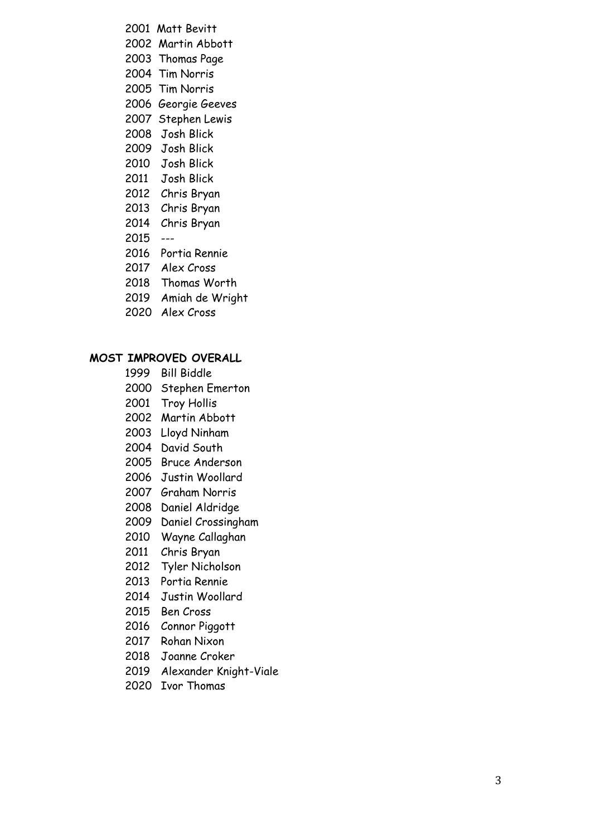- 2001 Matt Bevitt 2002 Martin Abbott 2003 Thomas Page 2004 Tim Norris 2005 Tim Norris 2006 Georgie Geeves 2007 Stephen Lewis Josh Blick Josh Blick Josh Blick 2011 Josh Blick Chris Bryan Chris Bryan 2014 Chris Bryan ---
- Portia Rennie
- 2017 Alex Cross
- 2018 Thomas Worth
- Amiah de Wright
- Alex Cross

#### **MOST IMPROVED OVERALL**

- Bill Biddle
- Stephen Emerton
- Troy Hollis
- Martin Abbott
- Lloyd Ninham
- David South
- Bruce Anderson
- Justin Woollard
- Graham Norris
- Daniel Aldridge
- 2009 Daniel Crossingham
- Wayne Callaghan
- Chris Bryan
- Tyler Nicholson
- Portia Rennie
- Justin Woollard
- Ben Cross
- 2016 Connor Piggott
- Rohan Nixon
- Joanne Croker
- Alexander Knight-Viale
- Ivor Thomas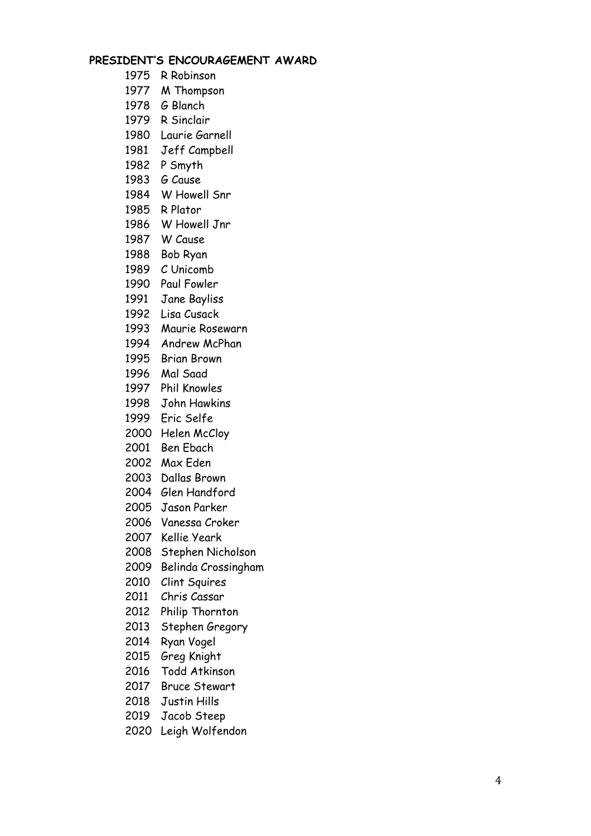## **PRESIDENT'S ENCOURAGEMENT AWARD**

- R Robinson
- M Thompson
- G Blanch
- R Sinclair
- 1980 Laurie Garnell
- Jeff Campbell
- P Smyth
- G Cause
- W Howell Snr
- R Plator
- W Howell Jnr
- W Cause
- Bob Ryan
- C Unicomb
- Paul Fowler
- Jane Bayliss
- Lisa Cusack
- Maurie Rosewarn
- Andrew McPhan
- Brian Brown
- Mal Saad
- Phil Knowles
- John Hawkins
- Eric Selfe
- Helen McCloy
- Ben Ebach
- Max Eden
- Dallas Brown
- Glen Handford
- Jason Parker
- Vanessa Croker
- Kellie Yeark
- Stephen Nicholson
- Belinda Crossingham
- Clint Squires
- Chris Cassar
- Philip Thornton
- Stephen Gregory
- Ryan Vogel
- Greg Knight
- Todd Atkinson
- Bruce Stewart
- Justin Hills
- Jacob Steep
- Leigh Wolfendon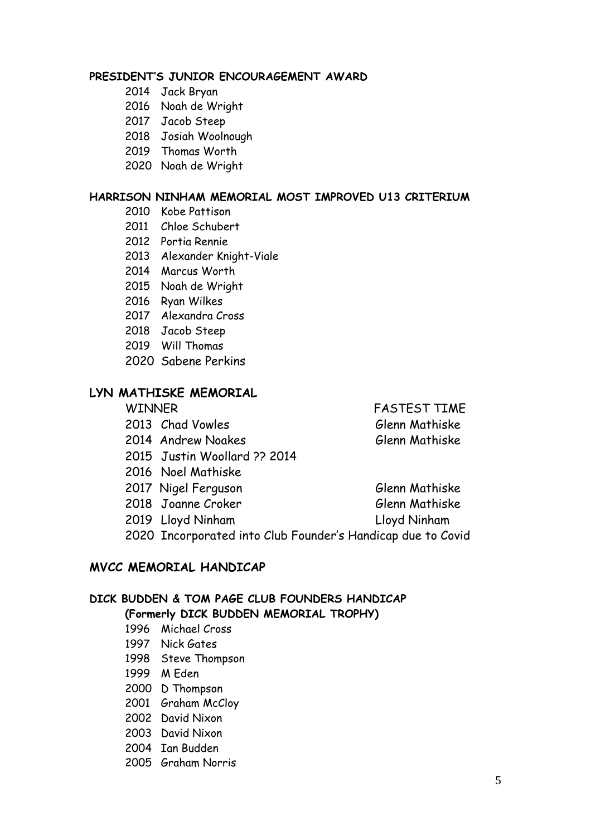## **PRESIDENT'S JUNIOR ENCOURAGEMENT AWARD**

- Jack Bryan
- Noah de Wright
- Jacob Steep
- Josiah Woolnough
- Thomas Worth
- Noah de Wright

#### **HARRISON NINHAM MEMORIAL MOST IMPROVED U13 CRITERIUM**

- Kobe Pattison
- Chloe Schubert
- Portia Rennie
- Alexander Knight-Viale
- 2014 Marcus Worth
- Noah de Wright
- Ryan Wilkes
- 2017 Alexandra Cross
- 2018 Jacob Steep
- Will Thomas
- Sabene Perkins

## **LYN MATHISKE MEMORIAL**

- 
- 
- Justin Woollard ?? 2014
- Noel Mathiske
- 2017 Nigel Ferguson Glenn Mathiske
- 2018 Joanne Croker Glenn Mathiske
- 2019 Lloyd Ninham Lloyd Ninham
- 
- Incorporated into Club Founder's Handicap due to Covid

## **MVCC MEMORIAL HANDICAP**

# **DICK BUDDEN & TOM PAGE CLUB FOUNDERS HANDICAP**

# **(Formerly DICK BUDDEN MEMORIAL TROPHY)**

- Michael Cross
- Nick Gates
- Steve Thompson
- M Eden
- D Thompson
- 2001 Graham McCloy
- David Nixon
- David Nixon
- Ian Budden
- Graham Norris

WINNER FASTEST TIME 2013 Chad Vowles Glenn Mathiske 2014 Andrew Noakes Glenn Mathiske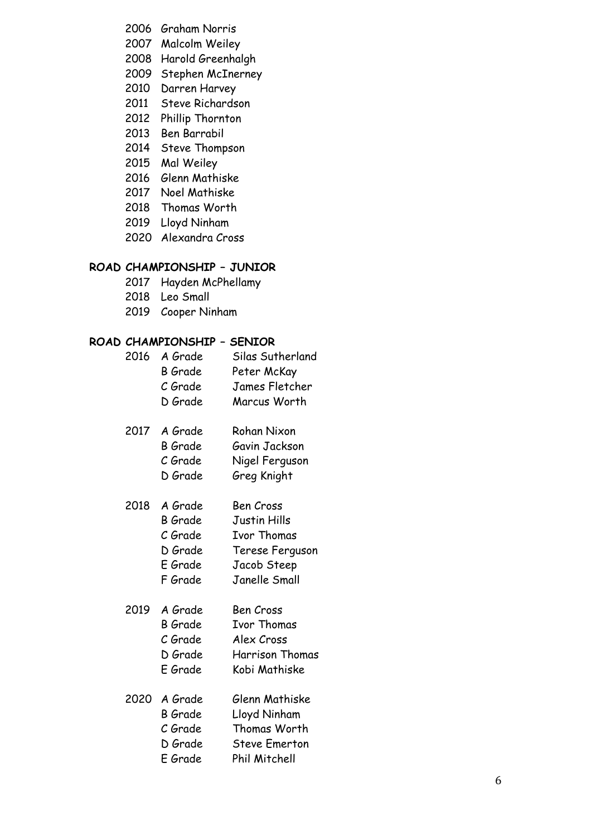- 2006 Graham Norris
- 2007 Malcolm Weiley
- 2008 Harold Greenhalgh
- 2009 Stephen McInerney
- 2010 Darren Harvey
- 2011 Steve Richardson
- 2012 Phillip Thornton
- 2013 Ben Barrabil
- 2014 Steve Thompson
- 2015 Mal Weiley
- 2016 Glenn Mathiske
- 2017 Noel Mathiske
- 2018 Thomas Worth
- 2019 Lloyd Ninham
- 2020 Alexandra Cross

## **ROAD CHAMPIONSHIP – JUNIOR**

- 2017 Hayden McPhellamy
- 2018 Leo Small
- 2019 Cooper Ninham

## **ROAD CHAMPIONSHIP – SENIOR**

- 2016 A Grade Silas Sutherland B Grade Peter McKay C Grade James Fletcher D Grade Marcus Worth 2017 A Grade Rohan Nixon B Grade Gavin Jackson C Grade Nigel Ferguson D Grade Greg Knight 2018 A Grade Ben Cross B Grade Justin Hills C Grade Ivor Thomas D Grade Terese Ferguson E Grade Jacob Steep F Grade Janelle Small 2019 A Grade Ben Cross B Grade Ivor Thomas C Grade Alex Cross D Grade Harrison Thomas E Grade Kobi Mathiske 2020 A Grade Glenn Mathiske B Grade Lloyd Ninham C Grade Thomas Worth D Grade Steve Emerton
	- E Grade Phil Mitchell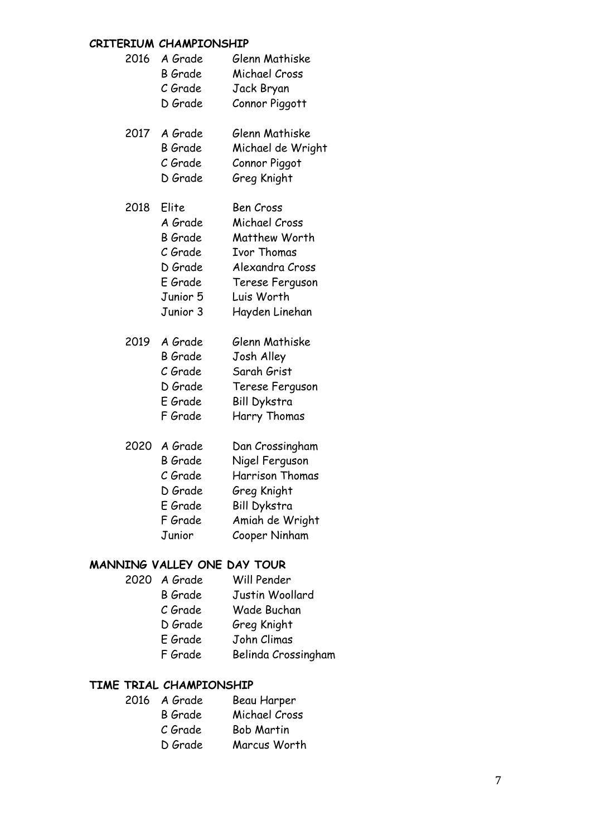## **CRITERIUM CHAMPIONSHIP**

| 2016 | A Grade<br>B Grade<br>C Grade<br>D Grade                                                    | Glenn Mathiske<br>Michael Cross<br>Jack Bryan<br>Connor Piggott                                                                                |
|------|---------------------------------------------------------------------------------------------|------------------------------------------------------------------------------------------------------------------------------------------------|
| 2017 | A Grade<br><b>B</b> Grade<br>C Grade<br>D Grade                                             | Glenn Mathiske<br>Michael de Wright<br>Connor Piggot<br>Greg Knight                                                                            |
| 2018 | Elite<br>A Grade<br><b>B</b> Grade<br>C Grade<br>D Grade<br>E Grade<br>Junior 5<br>Junior 3 | <b>Ben Cross</b><br>Michael Cross<br>Matthew Worth<br><b>Ivor Thomas</b><br>Alexandra Cross<br>Terese Ferguson<br>Luis Worth<br>Hayden Linehan |
| 2019 | A Grade<br><b>B</b> Grade<br>C Grade<br>D Grade<br>E Grade<br>F Grade                       | Glenn Mathiske<br>Josh Alley<br>Sarah Grist<br>Terese Ferguson<br><b>Bill Dykstra</b><br>Harry Thomas                                          |
| 2020 | A Grade<br><b>B</b> Grade<br>C Grade<br>D Grade<br>E Grade<br>F Grade<br>Junior             | Dan Crossingham<br>Nigel Ferguson<br>Harrison Thomas<br>Greg Knight<br><b>Bill Dykstra</b><br>Amiah de Wright<br>Cooper Ninham                 |

# **MANNING VALLEY ONE DAY TOUR**

- 2020 A Grade Will Pender B Grade Justin Woollard C Grade Wade Buchan D Grade Greg Knight
	- E Grade John Climas
	- F Grade Belinda Crossingham

# **TIME TRIAL CHAMPIONSHIP**

| 2016 A Grade   | Beau Harper       |
|----------------|-------------------|
| <b>B</b> Grade | Michael Cross     |
| C Grade        | <b>Bob Martin</b> |
| D Grade        | Marcus Worth      |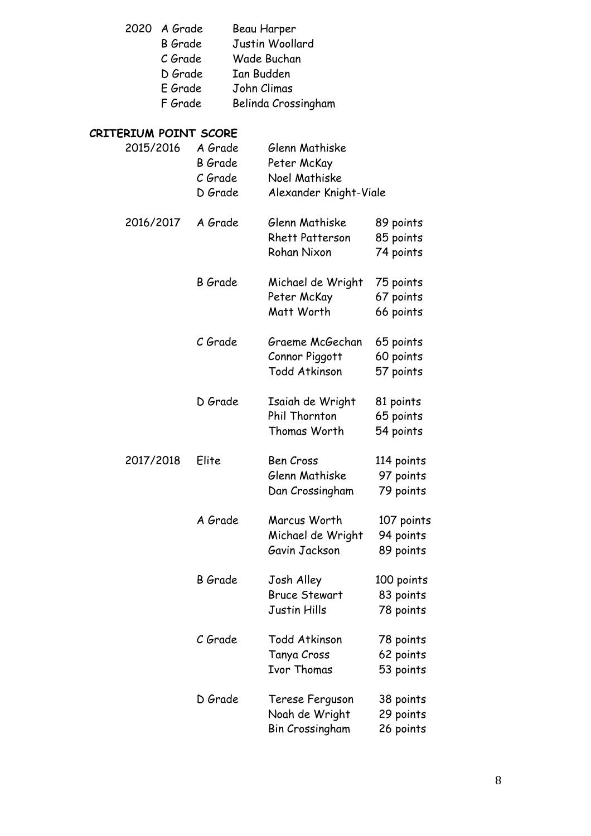- 2020 A Grade Beau Harper
	- B Grade Justin Woollard<br>C Grade Wade Buchan
	- C Grade Wade Buchan<br>D Grade Ian Budden
		- Ian Budden
	-
	- E Grade John Climas Belinda Crossingham

# **CRITERIUM POINT SCORE**

| 2015/2016 | A Grade<br><b>B</b> Grade<br>C Grade<br>D Grade | Glenn Mathiske<br>Peter McKay<br>Noel Mathiske<br>Alexander Knight-Viale |                                      |
|-----------|-------------------------------------------------|--------------------------------------------------------------------------|--------------------------------------|
| 2016/2017 | A Grade                                         | Glenn Mathiske<br><b>Rhett Patterson</b><br>Rohan Nixon                  | 89 points<br>85 points<br>74 points  |
|           | <b>B</b> Grade                                  | Michael de Wright<br>Peter McKay<br>Matt Worth                           | 75 points<br>67 points<br>66 points  |
|           | C Grade                                         | Graeme McGechan<br>Connor Piggott<br><b>Todd Atkinson</b>                | 65 points<br>60 points<br>57 points  |
|           | D Grade                                         | Isaiah de Wright<br>Phil Thornton<br>Thomas Worth                        | 81 points<br>65 points<br>54 points  |
| 2017/2018 | Elite                                           | Ben Cross<br>Glenn Mathiske<br>Dan Crossingham                           | 114 points<br>97 points<br>79 points |
|           | A Grade                                         | Marcus Worth<br>Michael de Wright<br>Gavin Jackson                       | 107 points<br>94 points<br>89 points |
|           | <b>B</b> Grade                                  | Josh Alley<br><b>Bruce Stewart</b><br>Justin Hills                       | 100 points<br>83 points<br>78 points |
|           | C Grade                                         | Todd Atkinson<br>Tanya Cross<br><b>Ivor Thomas</b>                       | 78 points<br>62 points<br>53 points  |
|           | D Grade                                         | Terese Ferguson<br>Noah de Wright<br><b>Bin Crossingham</b>              | 38 points<br>29 points<br>26 points  |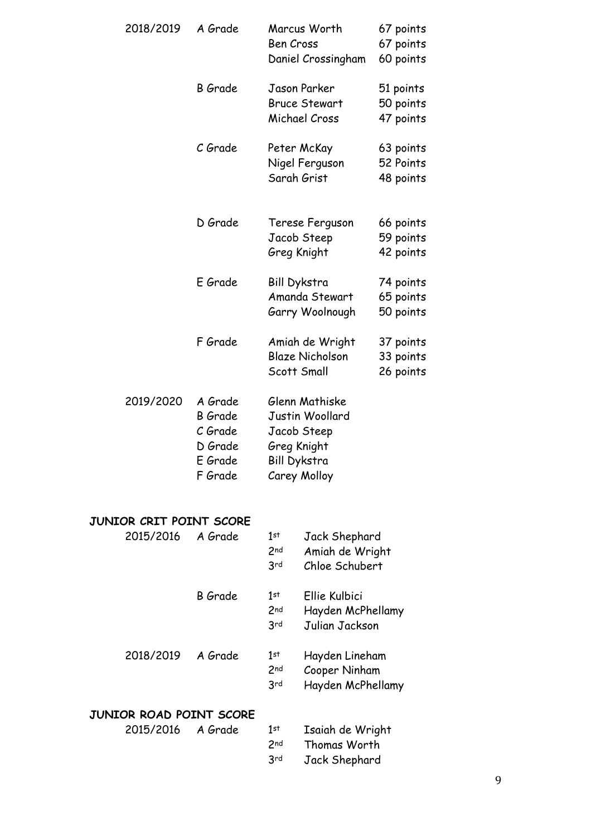|                         | 2018/2019 | A Grade                                                               |                                                                                                 | Marcus Worth                                          | 67 points                           |
|-------------------------|-----------|-----------------------------------------------------------------------|-------------------------------------------------------------------------------------------------|-------------------------------------------------------|-------------------------------------|
|                         |           |                                                                       | <b>Ben Cross</b>                                                                                | Daniel Crossingham                                    | 67 points<br>60 points              |
|                         |           | <b>B</b> Grade                                                        |                                                                                                 | Jason Parker<br><b>Bruce Stewart</b><br>Michael Cross | 51 points<br>50 points<br>47 points |
|                         |           | C Grade                                                               | Sarah Grist                                                                                     | Peter McKay<br>Nigel Ferguson                         | 63 points<br>52 Points<br>48 points |
|                         |           | D Grade                                                               | Greg Knight                                                                                     | Terese Ferguson<br>Jacob Steep                        | 66 points<br>59 points<br>42 points |
|                         |           | E Grade                                                               | <b>Bill Dykstra</b>                                                                             | Amanda Stewart<br>Garry Woolnough                     | 74 points<br>65 points<br>50 points |
|                         |           | F Grade                                                               | Scott Small                                                                                     | Amiah de Wright<br><b>Blaze Nicholson</b>             | 37 points<br>33 points<br>26 points |
|                         | 2019/2020 | A Grade<br><b>B</b> Grade<br>C Grade<br>D Grade<br>E Grade<br>F Grade | Glenn Mathiske<br>Justin Woollard<br>Jacob Steep<br>Greg Knight<br>Bill Dykstra<br>Carey Molloy |                                                       |                                     |
| JUNIOR CRIT POINT SCORE |           |                                                                       |                                                                                                 |                                                       |                                     |
|                         | 2015/2016 | A Grade                                                               | $1$ st<br>2 <sub>nd</sub><br>3rd                                                                | Jack Shephard<br>Amiah de Wright<br>Chloe Schubert    |                                     |
|                         |           | <b>B</b> Grade                                                        | $1$ st<br>2nd                                                                                   | Ellie Kulbici<br>Hayden McPhellamy                    |                                     |

|           |         | 2 <sub>nd</sub><br>3rd        | Hayden McPhellamy<br>Julian Jackson                  |
|-----------|---------|-------------------------------|------------------------------------------------------|
| 2018/2019 | A Grade | 1st<br>2 <sub>nd</sub><br>3rd | Hayden Lineham<br>Cooper Ninham<br>Hayden McPhellamy |

# **JUNIOR ROAD POINT SCORE**

| 2015/2016 A Grade | 1st             | Isaiah de Wright |
|-------------------|-----------------|------------------|
|                   | 2 <sub>nd</sub> | Thomas Worth     |
|                   | <b>Rrd</b>      | Jack Shephard    |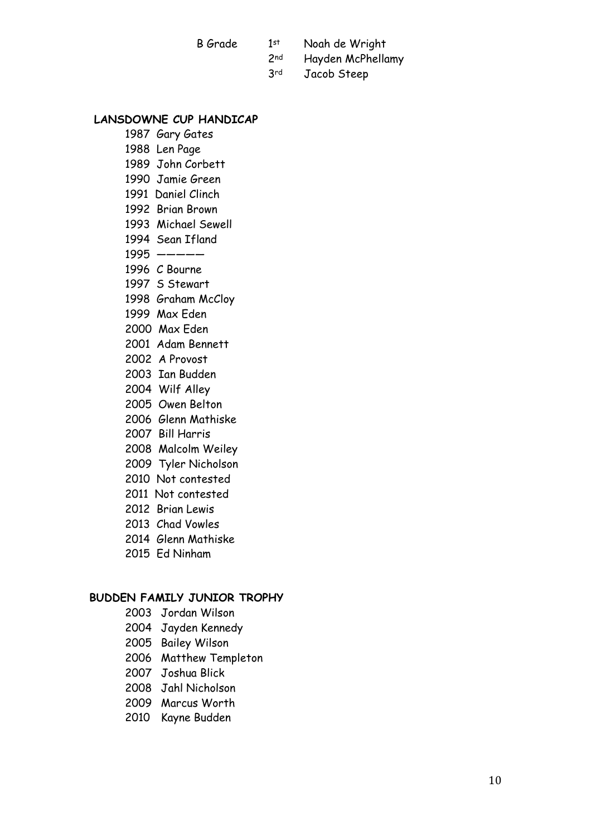B Grade 1st Noah de Wright 2nd Hayden McPhellamy

3rd Jacob Steep

#### **LANSDOWNE CUP HANDICAP**

- 1987 Gary Gates
- 1988 Len Page
- 1989 John Corbett
- 1990 Jamie Green
- 1991 Daniel Clinch
- 1992 Brian Brown
- 1993 Michael Sewell
- 1994 Sean Ifland
- 1995 —————
- 1996 C Bourne
- 1997 S Stewart
- 1998 Graham McCloy
- 1999 Max Eden
- 2000 Max Eden
- 2001 Adam Bennett
- 2002 A Provost
- 2003 Ian Budden
- 2004 Wilf Alley
- 2005 Owen Belton
- 2006 Glenn Mathiske
- 2007 Bill Harris
- 2008 Malcolm Weiley
- 2009 Tyler Nicholson
- 2010 Not contested
- 2011 Not contested
- 2012 Brian Lewis
- 2013 Chad Vowles
- 2014 Glenn Mathiske
- 2015 Ed Ninham

#### **BUDDEN FAMILY JUNIOR TROPHY**

- 2003 Jordan Wilson
- 2004 Jayden Kennedy
- 2005 Bailey Wilson
- 2006 Matthew Templeton
- 2007 Joshua Blick
- 2008 Jahl Nicholson
- 2009 Marcus Worth
- 2010 Kayne Budden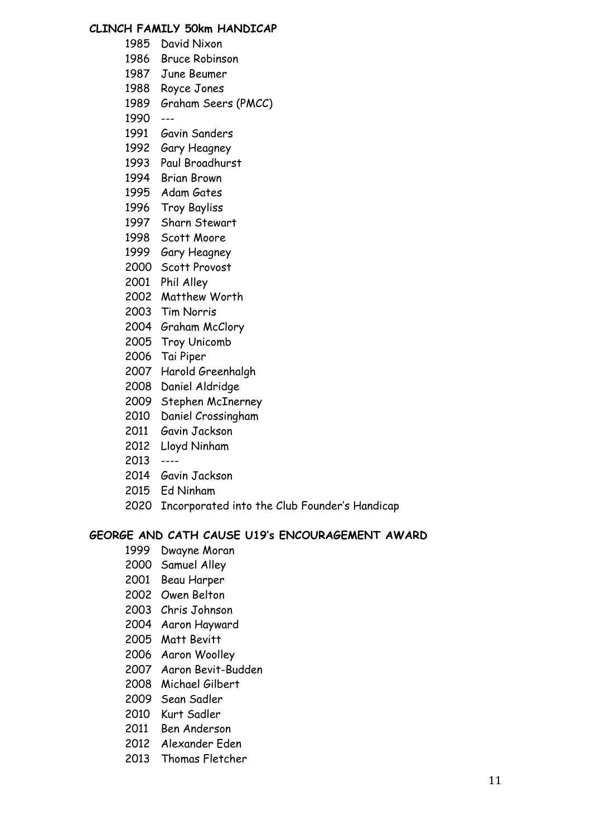## **CLINCH FAMILY 50km HANDICAP**

- David Nixon
- Bruce Robinson
- June Beumer
- Royce Jones
- Graham Seers (PMCC)
- ---
- Gavin Sanders
- Gary Heagney
- Paul Broadhurst
- Brian Brown
- Adam Gates
- Troy Bayliss
- Sharn Stewart
- Scott Moore
- Gary Heagney
- Scott Provost
- Phil Alley
- Matthew Worth
- Tim Norris
- Graham McClory
- Troy Unicomb
- Tai Piper
- Harold Greenhalgh
- Daniel Aldridge
- Stephen McInerney
- Daniel Crossingham
- Gavin Jackson
- Lloyd Ninham
- ----
- 2014 Gavin Jackson
- Ed Ninham
- 2020 Incorporated into the Club Founder's Handicap

## **GEORGE AND CATH CAUSE U19's ENCOURAGEMENT AWARD**

- Dwayne Moran
- Samuel Alley
- Beau Harper
- Owen Belton
- Chris Johnson
- Aaron Hayward
- Matt Bevitt
- Aaron Woolley
- Aaron Bevit-Budden
- Michael Gilbert
- Sean Sadler
- Kurt Sadler
- Ben Anderson
- Alexander Eden
- Thomas Fletcher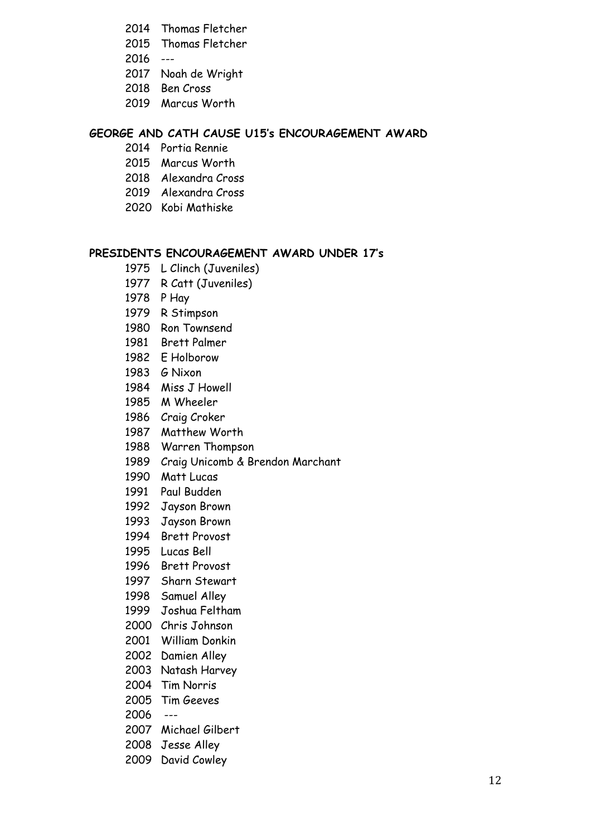- 2014 Thomas Fletcher
- Thomas Fletcher
- ---
- Noah de Wright
- 2018 Ben Cross
- 2019 Marcus Worth

## **GEORGE AND CATH CAUSE U15's ENCOURAGEMENT AWARD**

- Portia Rennie
- Marcus Worth
- Alexandra Cross
- Alexandra Cross
- Kobi Mathiske

## **PRESIDENTS ENCOURAGEMENT AWARD UNDER 17's**

- L Clinch (Juveniles)
- R Catt (Juveniles)
- 1978 P Hay
- R Stimpson
- Ron Townsend
- 1981 Brett Palmer
- E Holborow
- G Nixon
- Miss J Howell
- M Wheeler
- Craig Croker
- 1987 Matthew Worth
- 1988 Warren Thompson
- Craig Unicomb & Brendon Marchant
- Matt Lucas
- Paul Budden
- Jayson Brown
- 1993 Jayson Brown
- Brett Provost
- 1995 Lucas Bell
- 1996 Brett Provost
- Sharn Stewart
- Samuel Alley
- Joshua Feltham
- Chris Johnson
- William Donkin
- Damien Alley
- Natash Harvey
- Tim Norris
- Tim Geeves
- 2006 ---
- Michael Gilbert
- Jesse Alley
- David Cowley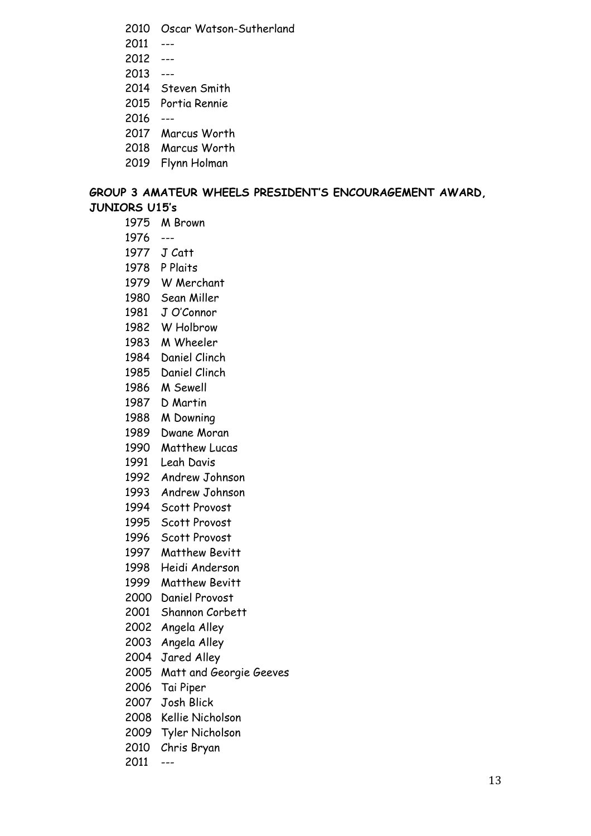- 2010 Oscar Watson-Sutherland
- 2011 ---
- 2012 ---
- $2013 -$
- 2014 Steven Smith
- 2015 Portia Rennie
- 2016 ---
- 2017 Marcus Worth
- 2018 Marcus Worth
- 2019 Flynn Holman

## **GROUP 3 AMATEUR WHEELS PRESIDENT'S ENCOURAGEMENT AWARD, JUNIORS U15's**

- 1975 M Brown
- 1976 ---
- 1977 J Catt
- 1978 P Plaits
- 1979 W Merchant
- 1980 Sean Miller
- 1981 J O'Connor
- 1982 W Holbrow
- 1983 M Wheeler
- 1984 Daniel Clinch
- 1985 Daniel Clinch
- 1986 M Sewell
- 1987 D Martin
- 1988 M Downing
- 1989 Dwane Moran
- 1990 Matthew Lucas
- 1991 Leah Davis
- 1992 Andrew Johnson
- 1993 Andrew Johnson
- 1994 Scott Provost
- 1995 Scott Provost
- 1996 Scott Provost
- 1997 Matthew Bevitt
- 1998 Heidi Anderson
- 1999 Matthew Bevitt
- 2000 Daniel Provost
- 2001 Shannon Corbett
- 2002 Angela Alley
- 2003 Angela Alley
- 2004 Jared Alley
- 2005 Matt and Georgie Geeves
- 2006 Tai Piper
- 2007 Josh Blick
- 2008 Kellie Nicholson
- 2009 Tyler Nicholson
- 2010 Chris Bryan
- 2011 ---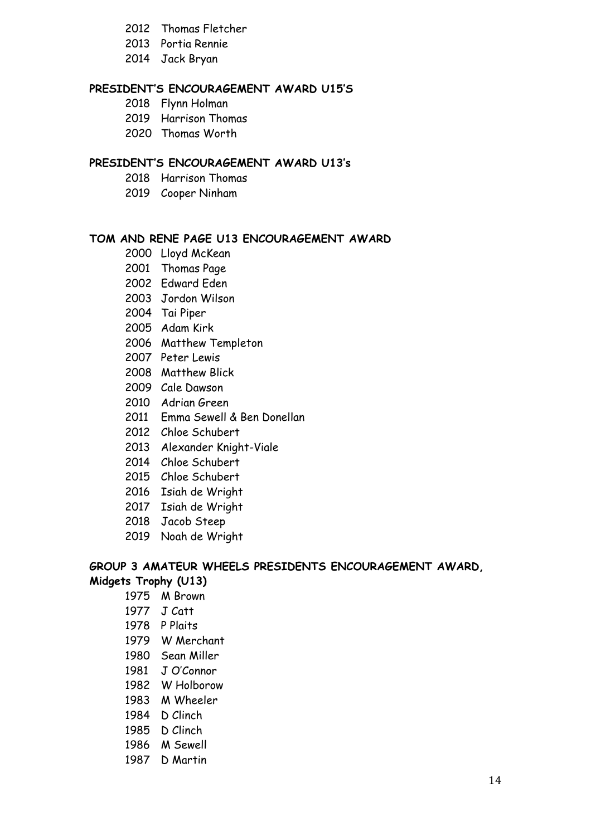- 2012 Thomas Fletcher
- 2013 Portia Rennie
- 2014 Jack Bryan

## **PRESIDENT'S ENCOURAGEMENT AWARD U15'S**

- 2018 Flynn Holman
- Harrison Thomas
- Thomas Worth

## **PRESIDENT'S ENCOURAGEMENT AWARD U13's**

- Harrison Thomas
- Cooper Ninham

## **TOM AND RENE PAGE U13 ENCOURAGEMENT AWARD**

- Lloyd McKean
- Thomas Page
- Edward Eden
- Jordon Wilson
- Tai Piper
- Adam Kirk
- Matthew Templeton
- Peter Lewis
- Matthew Blick
- Cale Dawson
- Adrian Green
- Emma Sewell & Ben Donellan
- Chloe Schubert
- Alexander Knight-Viale
- 2014 Chloe Schubert
- Chloe Schubert
- Isiah de Wright
- 2017 Isiah de Wright
- 2018 Jacob Steep
- Noah de Wright

#### **GROUP 3 AMATEUR WHEELS PRESIDENTS ENCOURAGEMENT AWARD, Midgets Trophy (U13)**

- M Brown
- J Catt
- P Plaits
- 1979 W Merchant
- Sean Miller
- J O'Connor
- W Holborow
- M Wheeler
- D Clinch
- D Clinch
- M Sewell
- D Martin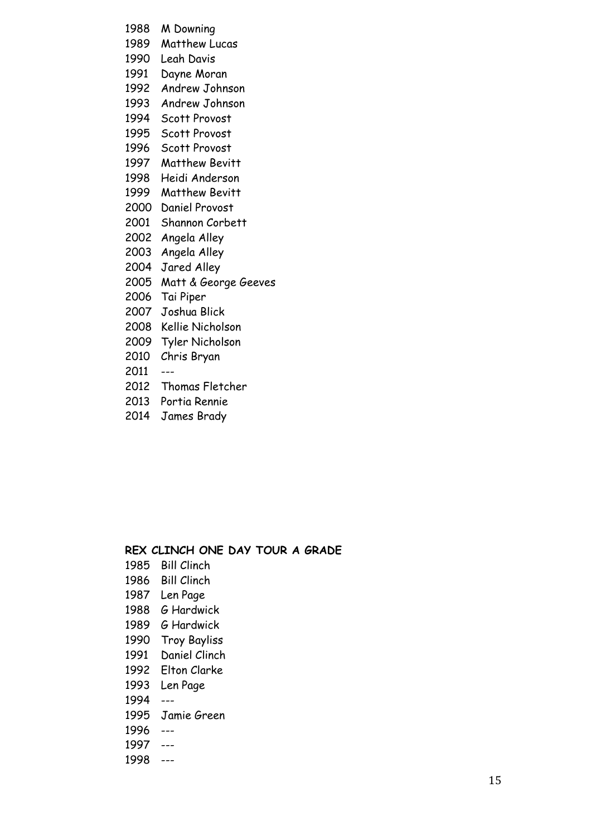- M Downing
- Matthew Lucas
- Leah Davis
- Dayne Moran
- Andrew Johnson
- Andrew Johnson
- Scott Provost
- Scott Provost
- Scott Provost
- 1997 Matthew Bevitt
- 1998 Heidi Anderson
- Matthew Bevitt
- Daniel Provost
- Shannon Corbett
- Angela Alley
- Angela Alley
- Jared Alley
- Matt & George Geeves
- Tai Piper
- Joshua Blick
- Kellie Nicholson
- Tyler Nicholson
- Chris Bryan
- ---
- Thomas Fletcher
- Portia Rennie
- James Brady

## **REX CLINCH ONE DAY TOUR A GRADE**

- 1985 Bill Clinch
- 1986 Bill Clinch
- 1987 Len Page
- 1988 G Hardwick
- 1989 G Hardwick
- 1990 Troy Bayliss
- 1991 Daniel Clinch
- 1992 Elton Clarke
- 1993 Len Page
- 1994 ---
- 1995 Jamie Green
- 1996 ---
- 1997 ---
- 1998 ---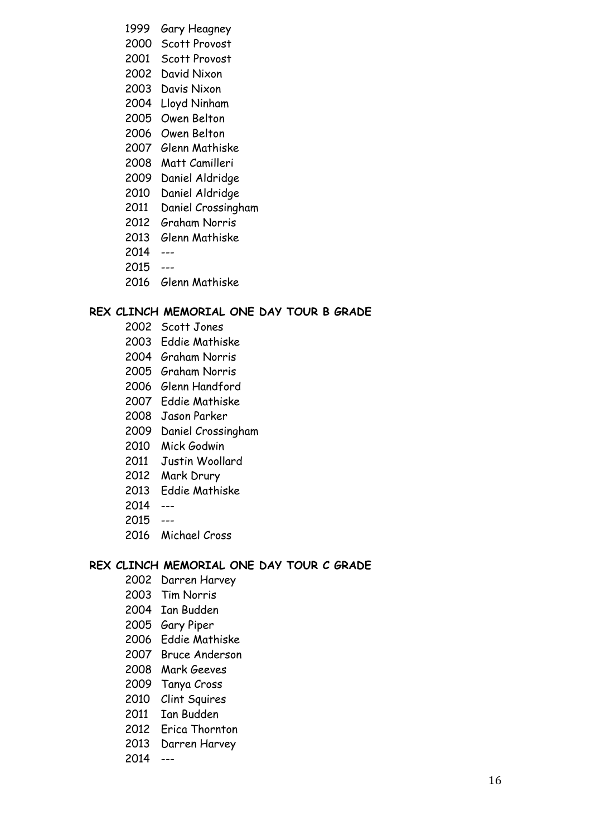- 1999 Gary Heagney
- Scott Provost
- Scott Provost
- David Nixon
- Davis Nixon
- Lloyd Ninham
- Owen Belton
- Owen Belton
- Glenn Mathiske
- Matt Camilleri
- Daniel Aldridge
- Daniel Aldridge
- Daniel Crossingham
- Graham Norris
- 2013 Glenn Mathiske
- ---
- ---
- Glenn Mathiske

## **REX CLINCH MEMORIAL ONE DAY TOUR B GRADE**

- Scott Jones
- Eddie Mathiske
- Graham Norris
- Graham Norris
- Glenn Handford
- Eddie Mathiske
- Jason Parker
- Daniel Crossingham
- Mick Godwin
- Justin Woollard
- Mark Drury
- 2013 Eddie Mathiske
- ---
- ---
- 2016 Michael Cross

## **REX CLINCH MEMORIAL ONE DAY TOUR C GRADE**

- Darren Harvey
- Tim Norris
- Ian Budden
- Gary Piper
- Eddie Mathiske
- Bruce Anderson
- Mark Geeves
- Tanya Cross
- Clint Squires
- Ian Budden
- Erica Thornton
- 2013 Darren Harvey
- ---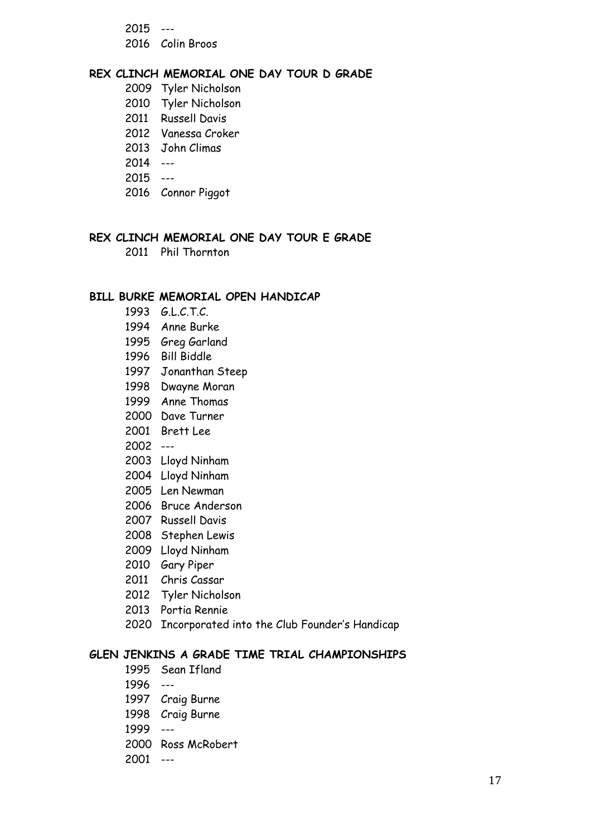--- 2016 Colin Broos

#### **REX CLINCH MEMORIAL ONE DAY TOUR D GRADE**

- Tyler Nicholson
- Tyler Nicholson
- Russell Davis
- Vanessa Croker
- 2013 John Climas
- ---
- ---
- 2016 Connor Piggot

## **REX CLINCH MEMORIAL ONE DAY TOUR E GRADE**

Phil Thornton

#### **BILL BURKE MEMORIAL OPEN HANDICAP**

- 1993 G.L.C.T.C.
- Anne Burke
- Greg Garland
- Bill Biddle
- Jonanthan Steep
- Dwayne Moran
- Anne Thomas
- Dave Turner
- Brett Lee
- ---
- Lloyd Ninham
- Lloyd Ninham
- Len Newman
- Bruce Anderson
- Russell Davis
- Stephen Lewis
- Lloyd Ninham
- Gary Piper
- Chris Cassar
- Tyler Nicholson
- 2013 Portia Rennie
- 2020 Incorporated into the Club Founder's Handicap

## **GLEN JENKINS A GRADE TIME TRIAL CHAMPIONSHIPS**

- 1995 Sean Ifland
- 1996 ---
- 1997 Craig Burne
- 1998 Craig Burne
- 1999 ---
- 2000 Ross McRobert
- 2001 ---